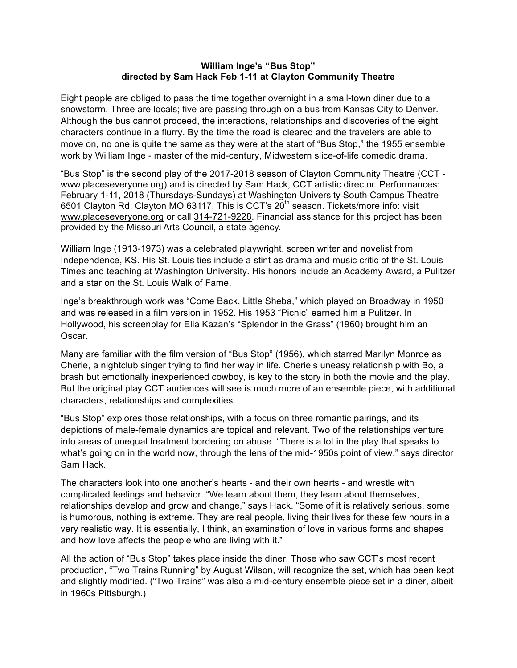## **William Inge's "Bus Stop" directed by Sam Hack Feb 1-11 at Clayton Community Theatre**

Eight people are obliged to pass the time together overnight in a small-town diner due to a snowstorm. Three are locals; five are passing through on a bus from Kansas City to Denver. Although the bus cannot proceed, the interactions, relationships and discoveries of the eight characters continue in a flurry. By the time the road is cleared and the travelers are able to move on, no one is quite the same as they were at the start of "Bus Stop," the 1955 ensemble work by William Inge - master of the mid-century, Midwestern slice-of-life comedic drama.

"Bus Stop" is the second play of the 2017-2018 season of Clayton Community Theatre (CCT www.placeseveryone.org) and is directed by Sam Hack, CCT artistic director. Performances: February 1-11, 2018 (Thursdays-Sundays) at Washington University South Campus Theatre 6501 Clayton Rd, Clayton MO 63117. This is CCT's 20th season. Tickets/more info: visit www.placeseveryone.org or call 314-721-9228. Financial assistance for this project has been provided by the Missouri Arts Council, a state agency.

William Inge (1913-1973) was a celebrated playwright, screen writer and novelist from Independence, KS. His St. Louis ties include a stint as drama and music critic of the St. Louis Times and teaching at Washington University. His honors include an Academy Award, a Pulitzer and a star on the St. Louis Walk of Fame.

Inge's breakthrough work was "Come Back, Little Sheba," which played on Broadway in 1950 and was released in a film version in 1952. His 1953 "Picnic" earned him a Pulitzer. In Hollywood, his screenplay for Elia Kazan's "Splendor in the Grass" (1960) brought him an Oscar.

Many are familiar with the film version of "Bus Stop" (1956), which starred Marilyn Monroe as Cherie, a nightclub singer trying to find her way in life. Cherie's uneasy relationship with Bo, a brash but emotionally inexperienced cowboy, is key to the story in both the movie and the play. But the original play CCT audiences will see is much more of an ensemble piece, with additional characters, relationships and complexities.

"Bus Stop" explores those relationships, with a focus on three romantic pairings, and its depictions of male-female dynamics are topical and relevant. Two of the relationships venture into areas of unequal treatment bordering on abuse. "There is a lot in the play that speaks to what's going on in the world now, through the lens of the mid-1950s point of view," says director Sam Hack.

The characters look into one another's hearts - and their own hearts - and wrestle with complicated feelings and behavior. "We learn about them, they learn about themselves, relationships develop and grow and change," says Hack. "Some of it is relatively serious, some is humorous, nothing is extreme. They are real people, living their lives for these few hours in a very realistic way. It is essentially, I think, an examination of love in various forms and shapes and how love affects the people who are living with it."

All the action of "Bus Stop" takes place inside the diner. Those who saw CCT's most recent production, "Two Trains Running" by August Wilson, will recognize the set, which has been kept and slightly modified. ("Two Trains" was also a mid-century ensemble piece set in a diner, albeit in 1960s Pittsburgh.)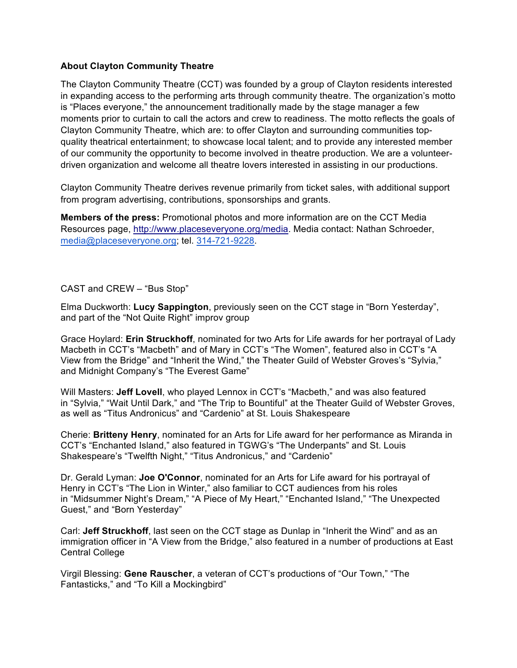## **About Clayton Community Theatre**

The Clayton Community Theatre (CCT) was founded by a group of Clayton residents interested in expanding access to the performing arts through community theatre. The organization's motto is "Places everyone," the announcement traditionally made by the stage manager a few moments prior to curtain to call the actors and crew to readiness. The motto reflects the goals of Clayton Community Theatre, which are: to offer Clayton and surrounding communities topquality theatrical entertainment; to showcase local talent; and to provide any interested member of our community the opportunity to become involved in theatre production. We are a volunteerdriven organization and welcome all theatre lovers interested in assisting in our productions.

Clayton Community Theatre derives revenue primarily from ticket sales, with additional support from program advertising, contributions, sponsorships and grants.

**Members of the press:** Promotional photos and more information are on the CCT Media Resources page, http://www.placeseveryone.org/media. Media contact: Nathan Schroeder, media@placeseveryone.org; tel. 314-721-9228.

## CAST and CREW – "Bus Stop"

Elma Duckworth: **Lucy Sappington**, previously seen on the CCT stage in "Born Yesterday", and part of the "Not Quite Right" improv group

Grace Hoylard: **Erin Struckhoff**, nominated for two Arts for Life awards for her portrayal of Lady Macbeth in CCT's "Macbeth" and of Mary in CCT's "The Women", featured also in CCT's "A View from the Bridge" and "Inherit the Wind," the Theater Guild of Webster Groves's "Sylvia," and Midnight Company's "The Everest Game"

Will Masters: **Jeff Lovell**, who played Lennox in CCT's "Macbeth," and was also featured in "Sylvia," "Wait Until Dark," and "The Trip to Bountiful" at the Theater Guild of Webster Groves, as well as "Titus Andronicus" and "Cardenio" at St. Louis Shakespeare

Cherie: **Britteny Henry**, nominated for an Arts for Life award for her performance as Miranda in CCT's "Enchanted Island," also featured in TGWG's "The Underpants" and St. Louis Shakespeare's "Twelfth Night," "Titus Andronicus," and "Cardenio"

Dr. Gerald Lyman: **Joe O'Connor**, nominated for an Arts for Life award for his portrayal of Henry in CCT's "The Lion in Winter," also familiar to CCT audiences from his roles in "Midsummer Night's Dream," "A Piece of My Heart," "Enchanted Island," "The Unexpected Guest," and "Born Yesterday"

Carl: **Jeff Struckhoff**, last seen on the CCT stage as Dunlap in "Inherit the Wind" and as an immigration officer in "A View from the Bridge," also featured in a number of productions at East Central College

Virgil Blessing: **Gene Rauscher**, a veteran of CCT's productions of "Our Town," "The Fantasticks," and "To Kill a Mockingbird"